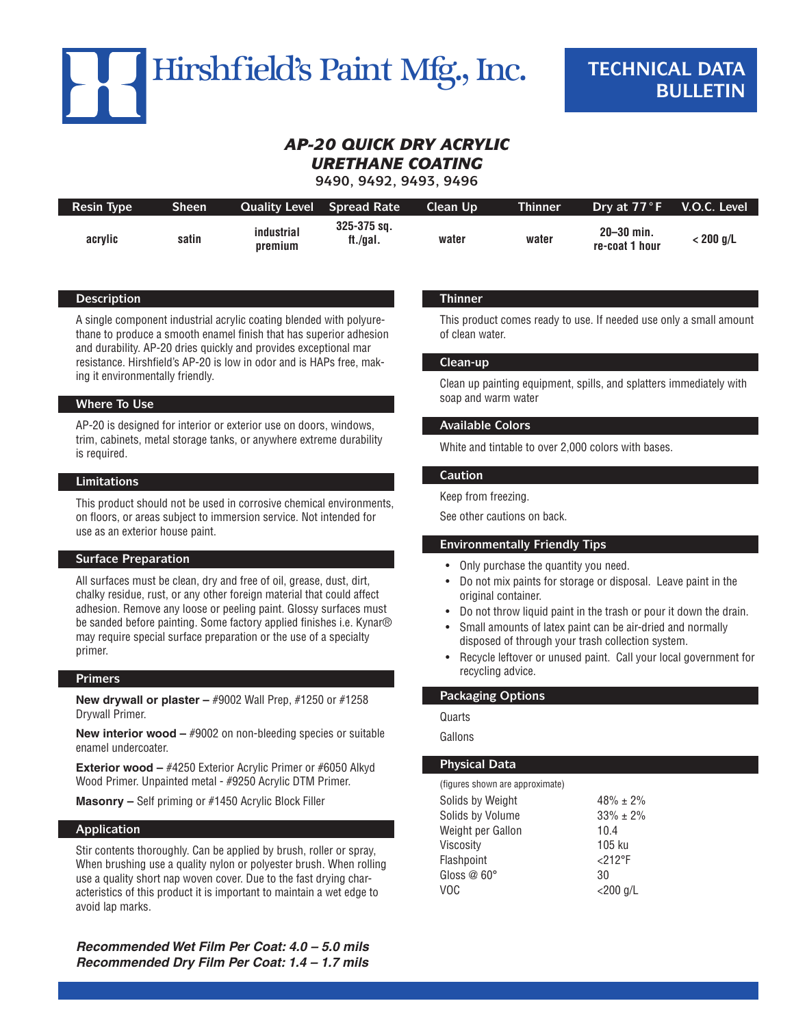

# *AP-20 Quick Dry Acrylic Urethane Coating*

**9490, 9492, 9493, 9496**

| <b>Resin Type</b> | Sheen' | <b>Quality Level</b>  | <b>Spread Rate</b>          | Clean Up | <b>Thinner</b> | Drv at 77°F                      | V.O.C. Level    |
|-------------------|--------|-----------------------|-----------------------------|----------|----------------|----------------------------------|-----------------|
| acrvlic           | satin  | industrial<br>premium | $325 - 375$ sq.<br>tt./gal. | water    | water          | $20 - 30$ min.<br>re-coat 1 hour | $\cdot$ 200 g/L |

# **Description**

A single component industrial acrylic coating blended with polyurethane to produce a smooth enamel finish that has superior adhesion and durability. AP-20 dries quickly and provides exceptional mar resistance. Hirshfield's AP-20 is low in odor and is HAPs free, making it environmentally friendly.

# **Where To Use**

AP-20 is designed for interior or exterior use on doors, windows, trim, cabinets, metal storage tanks, or anywhere extreme durability is required.

## **Limitations**

This product should not be used in corrosive chemical environments, on floors, or areas subject to immersion service. Not intended for use as an exterior house paint.

# **Surface Preparation**

All surfaces must be clean, dry and free of oil, grease, dust, dirt, chalky residue, rust, or any other foreign material that could affect adhesion. Remove any loose or peeling paint. Glossy surfaces must be sanded before painting. Some factory applied finishes i.e. Kynar® may require special surface preparation or the use of a specialty primer.

# **Primers**

**New drywall or plaster –** #9002 Wall Prep, #1250 or #1258 Drywall Primer.

**New interior wood – #9002 on non-bleeding species or suitable** enamel undercoater.

**Exterior wood – #4250 Exterior Acrylic Primer or #6050 Alkyd** Wood Primer. Unpainted metal - #9250 Acrylic DTM Primer.

**Masonry –** Self priming or #1450 Acrylic Block Filler

#### **Application**

Stir contents thoroughly. Can be applied by brush, roller or spray, When brushing use a quality nylon or polyester brush. When rolling use a quality short nap woven cover. Due to the fast drying characteristics of this product it is important to maintain a wet edge to avoid lap marks.

*Recommended Wet Film Per Coat: 4.0 – 5.0 mils Recommended Dry Film Per Coat: 1.4 – 1.7 mils*

# **Thinner**

This product comes ready to use. If needed use only a small amount of clean water.

# **Clean-up**

Clean up painting equipment, spills, and splatters immediately with soap and warm water

# **Available Colors**

White and tintable to over 2,000 colors with bases.

#### **Caution**

#### Keep from freezing.

See other cautions on back.

#### **Environmentally Friendly Tips**

- Only purchase the quantity you need.
- Do not mix paints for storage or disposal. Leave paint in the original container.
- Do not throw liquid paint in the trash or pour it down the drain.
- Small amounts of latex paint can be air-dried and normally disposed of through your trash collection system.
- Recycle leftover or unused paint. Call your local government for recycling advice.

# **Packaging Options**

Quarts

Gallons

# **Physical Data**

| (figures shown are approximate) |                |
|---------------------------------|----------------|
| Solids by Weight                | $48\% \pm 2\%$ |
| Solids by Volume                | $33\% \pm 2\%$ |
| Weight per Gallon               | 10.4           |
| Viscosity                       | 105 ku         |
| Flashpoint                      | $<$ 212°F      |
| Gloss @ 60°                     | 30             |
| VOC                             | $<$ 200 g/L    |
|                                 |                |